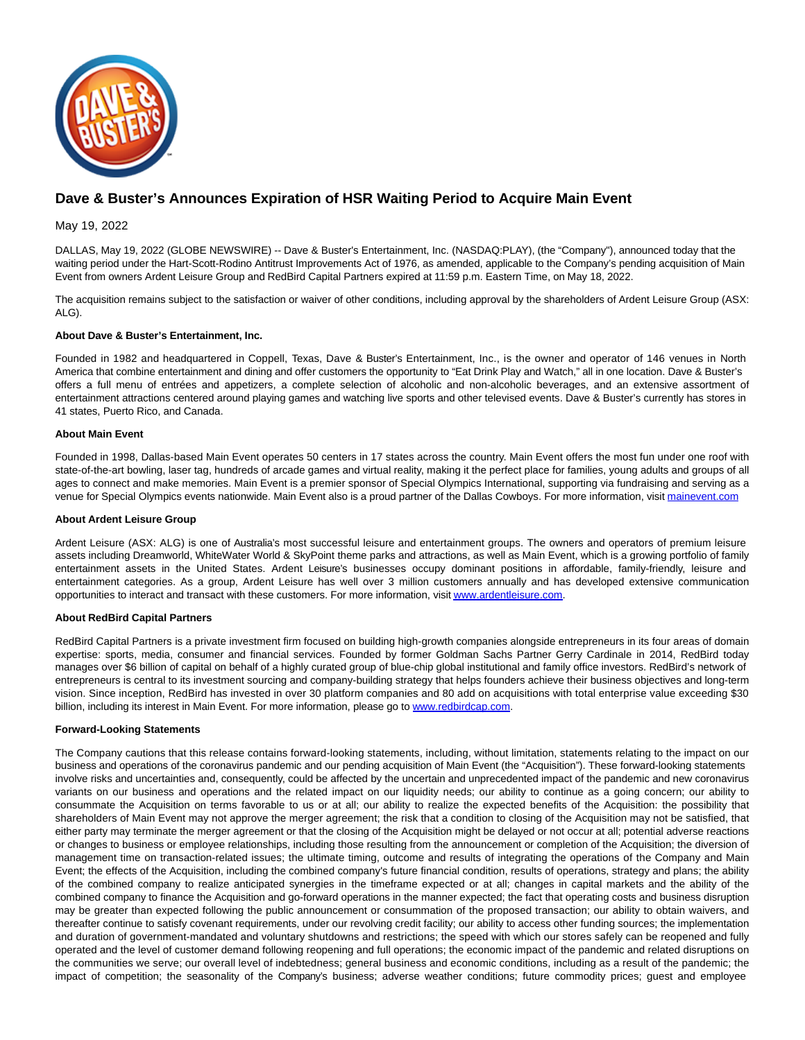

# **Dave & Buster's Announces Expiration of HSR Waiting Period to Acquire Main Event**

# May 19, 2022

DALLAS, May 19, 2022 (GLOBE NEWSWIRE) -- Dave & Buster's Entertainment, Inc. (NASDAQ:PLAY), (the "Company"), announced today that the waiting period under the Hart-Scott-Rodino Antitrust Improvements Act of 1976, as amended, applicable to the Company's pending acquisition of Main Event from owners Ardent Leisure Group and RedBird Capital Partners expired at 11:59 p.m. Eastern Time, on May 18, 2022.

The acquisition remains subject to the satisfaction or waiver of other conditions, including approval by the shareholders of Ardent Leisure Group (ASX: ALG).

## **About Dave & Buster's Entertainment, Inc.**

Founded in 1982 and headquartered in Coppell, Texas, Dave & Buster's Entertainment, Inc., is the owner and operator of 146 venues in North America that combine entertainment and dining and offer customers the opportunity to "Eat Drink Play and Watch," all in one location. Dave & Buster's offers a full menu of entrées and appetizers, a complete selection of alcoholic and non-alcoholic beverages, and an extensive assortment of entertainment attractions centered around playing games and watching live sports and other televised events. Dave & Buster's currently has stores in 41 states, Puerto Rico, and Canada.

# **About Main Event**

Founded in 1998, Dallas-based Main Event operates 50 centers in 17 states across the country. Main Event offers the most fun under one roof with state-of-the-art bowling, laser tag, hundreds of arcade games and virtual reality, making it the perfect place for families, young adults and groups of all ages to connect and make memories. Main Event is a premier sponsor of Special Olympics International, supporting via fundraising and serving as a venue for Special Olympics events nationwide. Main Event also is a proud partner of the Dallas Cowboys. For more information, visit [mainevent.com](http://mainevent.com/)

#### **About Ardent Leisure Group**

Ardent Leisure (ASX: ALG) is one of Australia's most successful leisure and entertainment groups. The owners and operators of premium leisure assets including Dreamworld, WhiteWater World & SkyPoint theme parks and attractions, as well as Main Event, which is a growing portfolio of family entertainment assets in the United States. Ardent Leisure's businesses occupy dominant positions in affordable, family-friendly, leisure and entertainment categories. As a group, Ardent Leisure has well over 3 million customers annually and has developed extensive communication opportunities to interact and transact with these customers. For more information, visi[t www.ardentleisure.com.](https://www.globenewswire.com/Tracker?data=nJsRM3uDPlEBFVkXoktZ4xhxZGltF2hVnIp8-MrzhO_WWbhwtgbtGC7UIJyYEVMZFmwh0js4FhMReqxiNl76Q_sJlNn798fxGsEY4F3hHw0=)

## **About RedBird Capital Partners**

RedBird Capital Partners is a private investment firm focused on building high-growth companies alongside entrepreneurs in its four areas of domain expertise: sports, media, consumer and financial services. Founded by former Goldman Sachs Partner Gerry Cardinale in 2014, RedBird today manages over \$6 billion of capital on behalf of a highly curated group of blue-chip global institutional and family office investors. RedBird's network of entrepreneurs is central to its investment sourcing and company-building strategy that helps founders achieve their business objectives and long-term vision. Since inception, RedBird has invested in over 30 platform companies and 80 add on acquisitions with total enterprise value exceeding \$30 billion, including its interest in Main Event. For more information, please go to [www.redbirdcap.com.](http://www.redbirdcap.com/)

## **Forward-Looking Statements**

The Company cautions that this release contains forward-looking statements, including, without limitation, statements relating to the impact on our business and operations of the coronavirus pandemic and our pending acquisition of Main Event (the "Acquisition"). These forward-looking statements involve risks and uncertainties and, consequently, could be affected by the uncertain and unprecedented impact of the pandemic and new coronavirus variants on our business and operations and the related impact on our liquidity needs; our ability to continue as a going concern; our ability to consummate the Acquisition on terms favorable to us or at all; our ability to realize the expected benefits of the Acquisition: the possibility that shareholders of Main Event may not approve the merger agreement; the risk that a condition to closing of the Acquisition may not be satisfied, that either party may terminate the merger agreement or that the closing of the Acquisition might be delayed or not occur at all; potential adverse reactions or changes to business or employee relationships, including those resulting from the announcement or completion of the Acquisition; the diversion of management time on transaction-related issues; the ultimate timing, outcome and results of integrating the operations of the Company and Main Event; the effects of the Acquisition, including the combined company's future financial condition, results of operations, strategy and plans; the ability of the combined company to realize anticipated synergies in the timeframe expected or at all; changes in capital markets and the ability of the combined company to finance the Acquisition and go-forward operations in the manner expected; the fact that operating costs and business disruption may be greater than expected following the public announcement or consummation of the proposed transaction; our ability to obtain waivers, and thereafter continue to satisfy covenant requirements, under our revolving credit facility; our ability to access other funding sources; the implementation and duration of government-mandated and voluntary shutdowns and restrictions; the speed with which our stores safely can be reopened and fully operated and the level of customer demand following reopening and full operations; the economic impact of the pandemic and related disruptions on the communities we serve; our overall level of indebtedness; general business and economic conditions, including as a result of the pandemic; the impact of competition; the seasonality of the Company's business; adverse weather conditions; future commodity prices; guest and employee